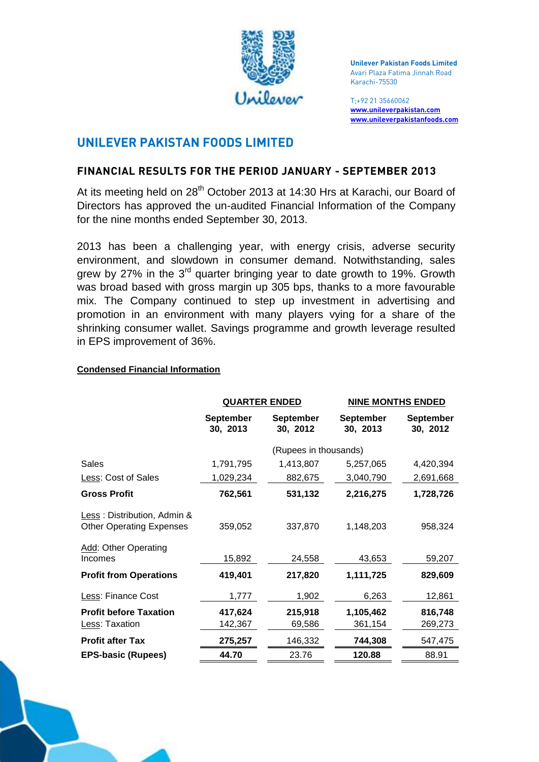

 **Unilever Pakistan Foods Limited**  Avari Plaza Fatima Jinnah Road Karachi-75530

T;+92 21 35660062 **[www.unileverpakistan.com](http://www.unileverpakistan.com/)  [www.unileverpakistanfoods.com](http://www.unileverpakistanfoods.com/)** 

# **UNILEVER PAKISTAN FOODS LIMITED**

#### **FINANCIAL RESULTS FOR THE PERIOD JANUARY - SEPTEMBER 2013**

At its meeting held on 28<sup>th</sup> October 2013 at 14:30 Hrs at Karachi, our Board of Directors has approved the un-audited Financial Information of the Company for the nine months ended September 30, 2013.

 2013 has been a challenging year, with energy crisis, adverse security environment, and slowdown in consumer demand. Notwithstanding, sales grew by 27% in the  $3^{rd}$  quarter bringing year to date growth to 19%. Growth was broad based with gross margin up 305 bps, thanks to a more favourable mix. The Company continued to step up investment in advertising and promotion in an environment with many players vying for a share of the shrinking consumer wallet. Savings programme and growth leverage resulted in EPS improvement of 36%.

|                                                                | <b>QUARTER ENDED</b>         |                              | <b>NINE MONTHS ENDED</b>     |                              |
|----------------------------------------------------------------|------------------------------|------------------------------|------------------------------|------------------------------|
|                                                                | <b>September</b><br>30, 2013 | <b>September</b><br>30, 2012 | <b>September</b><br>30, 2013 | <b>September</b><br>30, 2012 |
|                                                                | (Rupees in thousands)        |                              |                              |                              |
| <b>Sales</b>                                                   | 1,791,795                    | 1,413,807                    | 5,257,065                    | 4,420,394                    |
| Less: Cost of Sales                                            | 1,029,234                    | 882,675                      | 3,040,790                    | 2,691,668                    |
| <b>Gross Profit</b>                                            | 762,561                      | 531,132                      | 2,216,275                    | 1,728,726                    |
| Less: Distribution, Admin &<br><b>Other Operating Expenses</b> | 359,052                      | 337,870                      | 1,148,203                    | 958,324                      |
| Add: Other Operating<br>Incomes                                | 15,892                       | 24,558                       | 43,653                       | 59,207                       |
| <b>Profit from Operations</b>                                  | 419,401                      | 217,820                      | 1,111,725                    | 829,609                      |
| Less: Finance Cost                                             | 1,777                        | 1,902                        | 6,263                        | 12,861                       |
| <b>Profit before Taxation</b>                                  | 417,624                      | 215,918                      | 1,105,462                    | 816,748                      |
| Less: Taxation                                                 | 142,367                      | 69,586                       | 361,154                      | 269,273                      |
| <b>Profit after Tax</b>                                        | 275,257                      | 146,332                      | 744,308                      | 547,475                      |
| <b>EPS-basic (Rupees)</b>                                      | 44.70                        | 23.76                        | 120.88                       | 88.91                        |

#### **Condensed Financial Information**